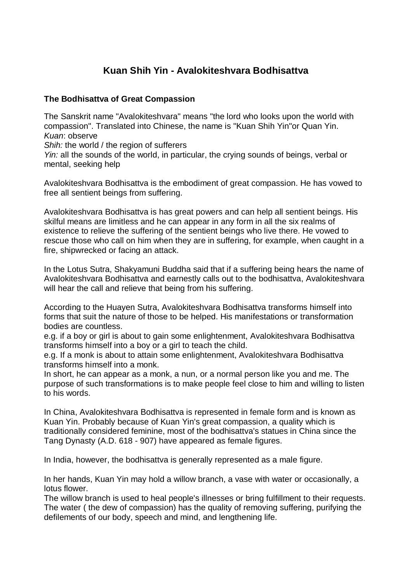## **Kuan Shih Yin - Avalokiteshvara Bodhisattva**

## **The Bodhisattva of Great Compassion**

The Sanskrit name "Avalokiteshvara" means "the lord who looks upon the world with compassion". Translated into Chinese, the name is "Kuan Shih Yin"or Quan Yin. *Kuan*: observe

*Shih:* the world / the region of sufferers

*Yin:* all the sounds of the world, in particular, the crying sounds of beings, verbal or mental, seeking help

Avalokiteshvara Bodhisattva is the embodiment of great compassion. He has vowed to free all sentient beings from suffering.

Avalokiteshvara Bodhisattva is has great powers and can help all sentient beings. His skilful means are limitless and he can appear in any form in all the six realms of existence to relieve the suffering of the sentient beings who live there. He vowed to rescue those who call on him when they are in suffering, for example, when caught in a fire, shipwrecked or facing an attack.

In the Lotus Sutra, Shakyamuni Buddha said that if a suffering being hears the name of Avalokiteshvara Bodhisattva and earnestly calls out to the bodhisattva, Avalokiteshvara will hear the call and relieve that being from his suffering.

According to the Huayen Sutra, Avalokiteshvara Bodhisattva transforms himself into forms that suit the nature of those to be helped. His manifestations or transformation bodies are countless.

e.g. if a boy or girl is about to gain some enlightenment, Avalokiteshvara Bodhisattva transforms himself into a boy or a girl to teach the child.

e.g. If a monk is about to attain some enlightenment, Avalokiteshvara Bodhisattva transforms himself into a monk.

In short, he can appear as a monk, a nun, or a normal person like you and me. The purpose of such transformations is to make people feel close to him and willing to listen to his words.

In China, Avalokiteshvara Bodhisattva is represented in female form and is known as Kuan Yin. Probably because of Kuan Yin's great compassion, a quality which is traditionally considered feminine, most of the bodhisattva's statues in China since the Tang Dynasty (A.D. 618 - 907) have appeared as female figures.

In India, however, the bodhisattva is generally represented as a male figure.

In her hands, Kuan Yin may hold a willow branch, a vase with water or occasionally, a lotus flower.

The willow branch is used to heal people's illnesses or bring fulfillment to their requests. The water ( the dew of compassion) has the quality of removing suffering, purifying the defilements of our body, speech and mind, and lengthening life.